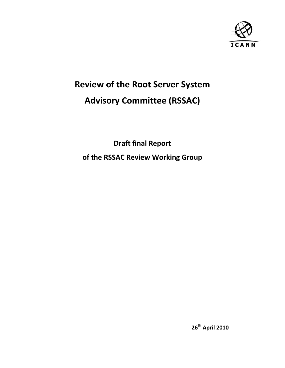

# **Review of the Root Server System Advisory Committee (RSSAC)**

**Draft final Report of the RSSAC Review Working Group**

**26th April 2010**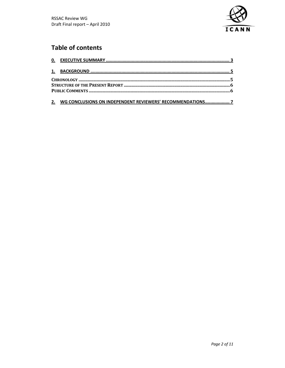

# **Table of contents**

### 2. WG CONCLUSIONS ON INDEPENDENT REVIEWERS' RECOMMENDATIONS..................... 7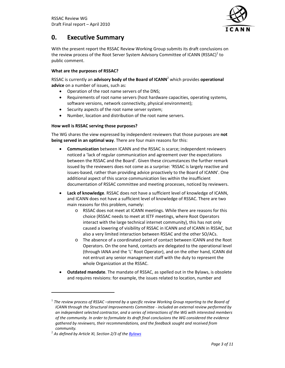

## **0. Executive Summary**

With the present report the RSSAC Review Working Group submits its draft conclusions on the review process of the Root Server System Advisory Committee of ICANN (RSSAC) $^1$  to public comment.

#### **What are the purposes of RSSAC?**

RSSAC is currently an **advisory body of the Board of ICANN**<sup>2</sup> which provides **operational advice** on a number of issues, such as:

- Operation of the root name servers of the DNS;
- Requirements of root name servers (host hardware capacities, operating systems, software versions, network connectivity, physical environment);
- Security aspects of the root name server system;
- Number, location and distribution of the root name servers.

#### **How well is RSSAC serving those purposes?**

The WG shares the view expressed by independent reviewers that those purposes are **not being served in an optimal way**. There are four main reasons for this:

- **Communication** between ICANN and the RSSAC is scarce; independent reviewers noticed a 'lack of regular communication and agreement over the expectations between the RSSAC and the Board'. Given these circumstances the further remark issued by the reviewers does not come as a surprise: 'RSSAC is largely reactive and issues‐based, rather than providing advice proactively to the Board of ICANN'. One additional aspect of this scarce communication lies within the insufficient documentation of RSSAC committee and meeting processes, noticed by reviewers.
- **Lack of knowledge**. RSSAC does not have a sufficient level of knowledge of ICANN, and ICANN does not have a sufficient level of knowledge of RSSAC. There are two main reasons for this problem, namely:
	- o RSSAC does not meet at ICANN meetings. While there are reasons for this choice (RSSAC needs to meet at IETF meetings, where Root Operators interact with the large technical internet community), this has not only caused a lowering of visibility of RSSAC in ICANN and of ICANN in RSSAC, but also a very limited interaction between RSSAC and the other SO/ACs.
	- o The absence of a coordinated point of contact between ICANN and the Root Operators. On the one hand, contacts are delegated to the operational level (through IANA and the 'L' Root Operator), and on the other hand, ICANN did not entrust any senior management staff with the duty to represent the whole Organization at the RSSAC.
- **Outdated mandate**. The mandate of RSSAC, as spelled out in the Bylaws, is obsolete and requires revisions: for example, the issues related to location, number and

<sup>1</sup> *The review process of RSSAC –steered by a specific review Working Group reporting to the Board of ICANN through the Structural Improvements Committee ‐ included an external review performed by an independent selected contractor, and a series of interactions of the WG with interested members of the community. In order to formulate its draft final conclusions the WG considered the evidence gathered by reviewers, their recommendations, and the feedback sought and received from*

*community.*  <sup>2</sup> *As defined by Article XI, Section 2/3 of the Bylaws*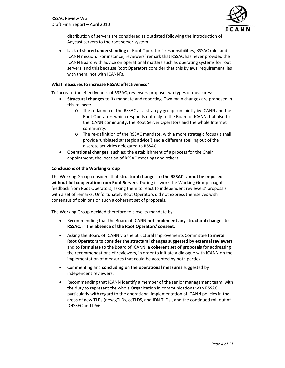

distribution of servers are considered as outdated following the introduction of Anycast servers to the root server system.

• **Lack of shared understanding** of Root Operators' responsibilities, RSSAC role, and ICANN mission. For instance, reviewers' remark that RSSAC has never provided the ICANN Board with advice on operational matters such as operating systems for root servers, and this because Root Operators consider that this Bylaws' requirement lies with them, not with ICANN's.

#### **What measures to increase RSSAC effectiveness?**

To increase the effectiveness of RSSAC, reviewers propose two types of measures:

- **Structural changes** to its mandate and reporting. Two main changes are proposed in this respect:
	- o The re‐launch of the RSSAC as a strategy group run jointly by ICANN and the Root Operators which responds not only to the Board of ICANN, but also to the ICANN community, the Root Server Operators and the whole Internet community.
	- o The re‐definition of the RSSAC mandate, with a more strategic focus (it shall provide 'unbiased strategic advice') and a different spelling out of the discrete activities delegated to RSSAC.
- **Operational changes**, such as: the establishment of a process for the Chair appointment, the location of RSSAC meetings and others.

#### **Conclusions of the Working Group**

The Working Group considers that **structural changes to the RSSAC cannot be imposed without full cooperation from Root Servers**. During its work the Working Group sought feedback from Root Operators, asking them to react to independent reviewers' proposals with a set of remarks. Unfortunately Root Operators did not express themselves with consensus of opinions on such a coherent set of proposals.

The Working Group decided therefore to close its mandate by:

- Recommending that the Board of ICANN **not implement any structural changes to RSSAC**, in the **absence of the Root Operators' consent**.
- Asking the Board of ICANN via the Structural Improvements Committee to **invite Root Operators to consider the structural changes suggested by external reviewers** and to **formulate** to the Board of ICANN, a **coherent set of proposals** for addressing the recommendations of reviewers, in order to initiate a dialogue with ICANN on the implementation of measures that could be accepted by both parties.
- Commenting and **concluding on the operational measures** suggested by independent reviewers.
- Recommending that ICANN identify a member of the senior management team with the duty to represent the whole Organization in communications with RSSAC, particularly with regard to the operational implementation of ICANN policies in the areas of new TLDs (new gTLDs, ccTLDS, and IDN TLDs), and the continued roll‐out of DNSSEC and IPv6.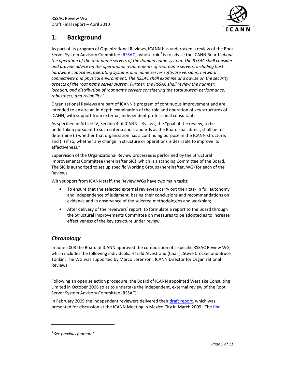

# **1. Background**

As part of its program of Organizational Reviews, ICANN has undertaken a review of the Root Server System Advisory Committee (RSSAC), whose role<sup>3</sup> is to advise the ICANN Board '*about the operation of the root name servers of the domain name system. The RSSAC shall consider and provide advice on the operational requirements of root name servers, including host hardware capacities, operating systems and name server software versions, network connectivity and physical environment. The RSSAC shall examine and advise on the security aspects of the root name server system. Further, the RSSAC shall review the number, location, and distribution of root name servers considering the total system performance, robustness, and reliability*.'

Organizational Reviews are part of ICANN's program of continuous improvement and are intended to ensure an in‐depth examination of the role and operation of key structures of ICANN, with support from external, independent professional consultants.

As specified in Article IV, Section 4 of ICANN's Bylaws, the "goal of the review, to be undertaken pursuant to such criteria and standards as the Board shall direct, shall be to determine (i) whether that organization has a continuing purpose in the ICANN structure, and (ii) if so, whether any change in structure or operations is desirable to improve its effectiveness."

Supervision of the Organizational Review processes is performed by the Structural Improvements Committee (hereinafter SIC), which is a standing Committee of the Board. The SIC is authorized to set up specific Working Groups (hereinafter, WG) for each of the Reviews.

With support from ICANN staff, the Review WGs have two main tasks:

- To ensure that the selected external reviewers carry out their task in full autonomy and independence of judgment, basing their conclusions and recommendations on evidence and in observance of the selected methodologies and workplan;
- After delivery of the reviewers' report, to formulate a report to the Board through the Structural Improvements Committee on measures to be adopted as to increase effectiveness of the key structure under review.

### *Chronology*

In June 2008 the Board of ICANN approved the composition of a specific RSSAC Review WG, which includes the following individuals: Harald Alvestrand (Chair), Steve Crocker and Bruce Tonkin. The WG was supported by Marco Lorenzoni, ICANN Director for Organizational Reviews.

Following an open selection procedure, the Board of ICANN appointed Westlake Consulting Limited in October 2008 so as to undertake the independent, external review of the Root Server System Advisory Committee (RSSAC).

In February 2009 the independent reviewers delivered their draft report, which was presented for discussion at the ICANN Meeting in Mexico City in March 2009. The final

<sup>3</sup> *See previous footnote2*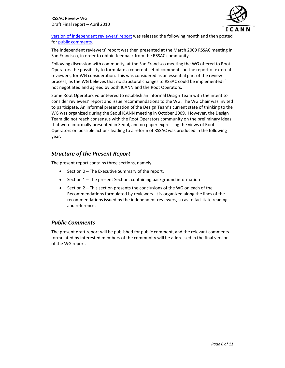

version of independent reviewers' report was released the following month and then posted for public comments.

The independent reviewers' report was then presented at the March 2009 RSSAC meeting in San Francisco, in order to obtain feedback from the RSSAC community.

Following discussion with community, at the San Francisco meeting the WG offered to Root Operators the possibility to formulate a coherent set of comments on the report of external reviewers, for WG consideration. This was considered as an essential part of the review process, as the WG believes that no structural changes to RSSAC could be implemented if not negotiated and agreed by both ICANN and the Root Operators.

Some Root Operators volunteered to establish an informal Design Team with the intent to consider reviewers' report and issue recommendations to the WG. The WG Chair was invited to participate. An informal presentation of the Design Team's current state of thinking to the WG was organized during the Seoul ICANN meeting in October 2009. However, the Design Team did not reach consensus with the Root Operators community on the preliminary ideas that were informally presented in Seoul, and no paper expressing the views of Root Operators on possible actions leading to a reform of RSSAC was produced in the following year.

### *Structure of the Present Report*

The present report contains three sections, namely:

- Section 0 The Executive Summary of the report.
- Section 1 The present Section, containing background information
- Section 2 This section presents the conclusions of the WG on each of the Recommendations formulated by reviewers. It is organized along the lines of the recommendations issued by the independent reviewers, so as to facilitate reading and reference.

### *Public Comments*

The present draft report will be published for public comment, and the relevant comments formulated by interested members of the community will be addressed in the final version of the WG report.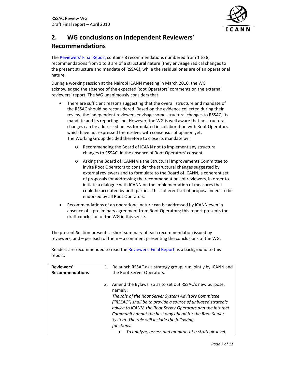

# **2. WG conclusions on Independent Reviewers' Recommendations**

The Reviewers' Final Report contains 8 recommendations numbered from 1 to 8; recommendations from 1 to 3 are of a structural nature (they envisage radical changes to the present structure and mandate of RSSAC), while the residual ones are of an operational nature.

During a working session at the Nairobi ICANN meeting in March 2010, the WG acknowledged the absence of the expected Root Operators' comments on the external reviewers' report. The WG unanimously considers that:

- There are sufficient reasons suggesting that the overall structure and mandate of the RSSAC should be reconsidered. Based on the evidence collected during their review, the independent reviewers envisage some structural changes to RSSAC, its mandate and its reporting line. However, the WG is well aware that no structural changes can be addressed unless formulated in collaboration with Root Operators, which have not expressed themselves with consensus of opinion yet. The Working Group decided therefore to close its mandate by:
	- o Recommending the Board of ICANN not to implement any structural changes to RSSAC, in the absence of Root Operators' consent.
	- o Asking the Board of ICANN via the Structural Improvements Committee to invite Root Operators to consider the structural changes suggested by external reviewers and to formulate to the Board of ICANN, a coherent set of proposals for addressing the recommendations of reviewers, in order to initiate a dialogue with ICANN on the implementation of measures that could be accepted by both parties. This coherent set of proposal needs to be endorsed by all Root Operators.
- Recommendations of an operational nature can be addressed by ICANN even in absence of a preliminary agreement from Root Operators; this report presents the draft conclusion of the WG in this sense.

The present Section presents a short summary of each recommendation issued by reviewers, and – per each of them – a comment presenting the conclusions of the WG.

| Reviewers'<br><b>Recommendations</b> | 1. | Relaunch RSSAC as a strategy group, run jointly by ICANN and<br>the Root Server Operators.                                                                                                                                                                                                                                                                          |
|--------------------------------------|----|---------------------------------------------------------------------------------------------------------------------------------------------------------------------------------------------------------------------------------------------------------------------------------------------------------------------------------------------------------------------|
|                                      | 2. | Amend the Bylaws' so as to set out RSSAC's new purpose,<br>namely:<br>The role of the Root Server System Advisory Committee<br>("RSSAC") shall be to provide a source of unbiased strategic<br>advice to ICANN, the Root Server Operators and the Internet<br>Community about the best way ahead for the Root Server<br>System. The role will include the following |
|                                      |    | functions:<br>To analyze, assess and monitor, at a strategic level,                                                                                                                                                                                                                                                                                                 |

Readers are recommended to read the Reviewers' Final Report as a background to this report.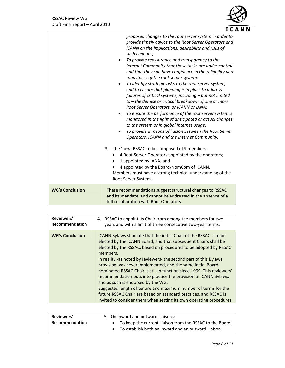

|                        | proposed changes to the root server system in order to<br>provide timely advice to the Root Server Operators and<br>ICANN on the implications, desirability and risks of<br>such changes;<br>To provide reassurance and transparency to the<br>Internet Community that these tasks are under control<br>and that they can have confidence in the reliability and<br>robustness of the root server system;<br>To identify strategic risks to the root server system,<br>and to ensure that planning is in place to address<br>failures of critical systems, including $-$ but not limited<br>to – the demise or critical breakdown of one or more<br>Root Server Operators, or ICANN or IANA;<br>To ensure the performance of the root server system is<br>monitored in the light of anticipated or actual changes<br>to the system or in global Internet usage;<br>To provide a means of liaison between the Root Server<br>٠<br>Operators, ICANN and the Internet Community.<br>3. The 'new' RSSAC to be composed of 9 members:<br>4 Root Server Operators appointed by the operators;<br>1 appointed by IANA; and<br>$\bullet$<br>4 appointed by the Board/NomCom of ICANN.<br>Members must have a strong technical understanding of the<br>Root Server System. |
|------------------------|-------------------------------------------------------------------------------------------------------------------------------------------------------------------------------------------------------------------------------------------------------------------------------------------------------------------------------------------------------------------------------------------------------------------------------------------------------------------------------------------------------------------------------------------------------------------------------------------------------------------------------------------------------------------------------------------------------------------------------------------------------------------------------------------------------------------------------------------------------------------------------------------------------------------------------------------------------------------------------------------------------------------------------------------------------------------------------------------------------------------------------------------------------------------------------------------------------------------------------------------------------------------|
| <b>WG's Conclusion</b> | These recommendations suggest structural changes to RSSAC<br>and its mandate, and cannot be addressed in the absence of a<br>full collaboration with Root Operators.                                                                                                                                                                                                                                                                                                                                                                                                                                                                                                                                                                                                                                                                                                                                                                                                                                                                                                                                                                                                                                                                                              |

| Reviewers'             | 4. RSSAC to appoint its Chair from among the members for two                                                                                                                                                                                                                                                                                                                                                                                                                                                                                                                                                                                                                                                                                                 |
|------------------------|--------------------------------------------------------------------------------------------------------------------------------------------------------------------------------------------------------------------------------------------------------------------------------------------------------------------------------------------------------------------------------------------------------------------------------------------------------------------------------------------------------------------------------------------------------------------------------------------------------------------------------------------------------------------------------------------------------------------------------------------------------------|
| Recommendation         | years and with a limit of three consecutive two-year terms.                                                                                                                                                                                                                                                                                                                                                                                                                                                                                                                                                                                                                                                                                                  |
| <b>WG's Conclusion</b> | ICANN Bylaws stipulate that the initial Chair of the RSSAC is to be<br>elected by the ICANN Board, and that subsequent Chairs shall be<br>elected by the RSSAC, based on procedures to be adopted by RSSAC<br>members.<br>In reality -as noted by reviewers- the second part of this Bylaws<br>provision was never implemented, and the same initial Board-<br>nominated RSSAC Chair is still in function since 1999. This reviewers'<br>recommendation puts into practice the provision of ICANN Bylaws,<br>and as such is endorsed by the WG.<br>Suggested length of tenure and maximum number of terms for the<br>future RSSAC Chair are based on standard practices, and RSSAC is<br>invited to consider them when setting its own operating procedures. |

| Reviewers'     | 5. On inward and outward Liaisons: |  |                                                          |
|----------------|------------------------------------|--|----------------------------------------------------------|
| Recommendation |                                    |  | To keep the current Liaison from the RSSAC to the Board; |
|                |                                    |  | To establish both an inward and an outward Liaison       |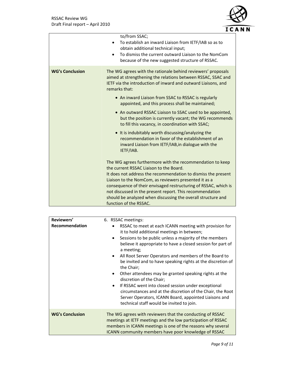

| To establish an inward Liaison from IETF/IAB so as to<br>To dismiss the current outward Liaison to the NomCom                                                                                                                                                 |
|---------------------------------------------------------------------------------------------------------------------------------------------------------------------------------------------------------------------------------------------------------------|
| The WG agrees with the rationale behind reviewers' proposals<br>aimed at strengthening the relations between RSSAC, SSAC and<br>IETF via the introduction of inward and outward Liaisons, and                                                                 |
|                                                                                                                                                                                                                                                               |
| • An outward RSSAC Liaison to SSAC used to be appointed,<br>but the position is currently vacant; the WG recommends                                                                                                                                           |
| recommendation in favor of the establishment of an                                                                                                                                                                                                            |
| The WG agrees furthermore with the recommendation to keep<br>It does not address the recommendation to dismiss the present<br>consequence of their envisaged restructuring of RSSAC, which is<br>should be analyzed when discussing the overall structure and |
| not discussed in the present report. This recommendation                                                                                                                                                                                                      |

| Reviewers'             | 6. RSSAC meetings:                                                                                                                                                                                                                                                                                                                                                                                                                                                                                                                                                                                                                                                                                                                                                 |  |
|------------------------|--------------------------------------------------------------------------------------------------------------------------------------------------------------------------------------------------------------------------------------------------------------------------------------------------------------------------------------------------------------------------------------------------------------------------------------------------------------------------------------------------------------------------------------------------------------------------------------------------------------------------------------------------------------------------------------------------------------------------------------------------------------------|--|
| Recommendation         | RSSAC to meet at each ICANN meeting with provision for<br>$\bullet$<br>it to hold additional meetings in between;<br>Sessions to be public unless a majority of the members<br>$\bullet$<br>believe it appropriate to have a closed session for part of<br>a meeting;<br>All Root Server Operators and members of the Board to<br>$\bullet$<br>be invited and to have speaking rights at the discretion of<br>the Chair;<br>Other attendees may be granted speaking rights at the<br>$\bullet$<br>discretion of the Chair;<br>If RSSAC went into closed session under exceptional<br>$\bullet$<br>circumstances and at the discretion of the Chair, the Root<br>Server Operators, ICANN Board, appointed Liaisons and<br>technical staff would be invited to join. |  |
| <b>WG's Conclusion</b> | The WG agrees with reviewers that the conducting of RSSAC<br>meetings at IETF meetings and the low participation of RSSAC<br>members in ICANN meetings is one of the reasons why several<br>ICANN community members have poor knowledge of RSSAC                                                                                                                                                                                                                                                                                                                                                                                                                                                                                                                   |  |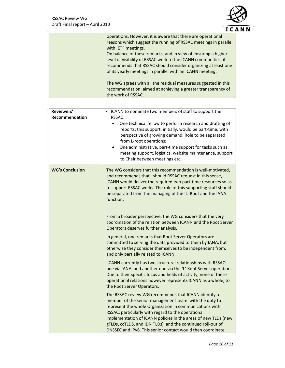

| operations. However, it is aware that there are operational<br>reasons which suggest the running of RSSAC meetings in parallel<br>with IETF meetings.                                                                                                         |
|---------------------------------------------------------------------------------------------------------------------------------------------------------------------------------------------------------------------------------------------------------------|
| On balance of these remarks, and in view of ensuring a higher<br>level of visibility of RSSAC work to the ICANN communities, it<br>recommends that RSSAC should consider organizing at least one<br>of its yearly meetings in parallel with an ICANN meeting. |
| The WG agrees with all the residual measures suggested in this<br>recommendation, aimed at achieving a greater transparency of<br>the work of RSSAC.                                                                                                          |

| Reviewers'<br>Recommendation | 7. ICANN to nominate two members of staff to support the<br>RSSAC:<br>One technical fellow to perform research and drafting of<br>$\bullet$<br>reports; this support, initially, would be part-time, with<br>perspective of growing demand. Role to be separated<br>from L-root operations;<br>One administrative, part-time support for tasks such as<br>$\bullet$<br>meeting support, logistics, website maintenance, support<br>to Chair between meetings etc.                                                  |
|------------------------------|--------------------------------------------------------------------------------------------------------------------------------------------------------------------------------------------------------------------------------------------------------------------------------------------------------------------------------------------------------------------------------------------------------------------------------------------------------------------------------------------------------------------|
| <b>WG's Conclusion</b>       | The WG considers that this recommendation is well-motivated,<br>and recommends that -should RSSAC request in this sense,<br>ICANN would deliver the required two part-time resources so as<br>to support RSSAC works. The role of this supporting staff should<br>be separated from the managing of the 'L' Root and the IANA<br>function.<br>From a broader perspective, the WG considers that the very<br>coordination of the relation between ICANN and the Root Server<br>Operators deserves further analysis. |
|                              | In general, one remarks that Root Server Operators are<br>committed to serving the data provided to them by IANA, but<br>otherwise they consider themselves to be independent from,<br>and only partially related to ICANN.<br>ICANN currently has two structural relationships with RSSAC:<br>one via IANA, and another one via the 'L' Root Server operation.                                                                                                                                                    |
|                              | Due to their specific focus and fields of activity, none of these<br>operational relations however represents ICANN as a whole, to<br>the Root Server Operators.                                                                                                                                                                                                                                                                                                                                                   |
|                              | The RSSAC review WG recommends that ICANN identify a<br>member of the senior management team with the duty to<br>represent the whole Organization in communications with<br>RSSAC, particularly with regard to the operational<br>implementation of ICANN policies in the areas of new TLDs (new<br>gTLDs, ccTLDS, and IDN TLDs), and the continued roll-out of<br>DNSSEC and IPv6. This senior contact would then coordinate                                                                                      |